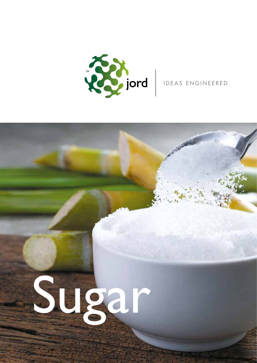

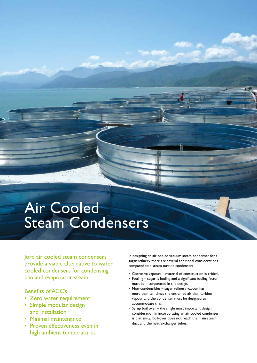## Air Cooled Steam Condensers

Jord air cooled steam condensers provide a viable alternative to water cooled condensers for condensing pan and evaporator steam.

### Benefits of ACC's

- Zero water requirement
- Simple modular design and installation
- Minimal maintenance
- Proven effectiveness even in high ambient temperatures

In designing an air cooled vacuum steam condenser for a sugar refinery, there are several additional considerations compared to a steam turbine condenser;

- Corrosive vapours material of construction is critical.
- Fouling sugar is fouling and a significant fouling factor must be incorporated in the design.
- Non-condensibles sugar refinery vapour has more than ten times the entrained air than turbine vapour and the condenser must be designed to accommodate this.
- Syrup boil over the single most important design consideration in incorporating an air cooled condenser is that syrup boil-over does not reach the main steam duct and the heat exchanger tubes.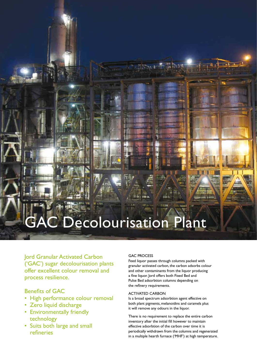## **GAC Decolourisation Plant**

Jord Granular Activated Carbon ('GAC') sugar decolourisation plants offer excellent colour removal and process resilience.

### Benefits of GAC

- High performance colour removal
- Zero liquid discharge
- Environmentally friendly technology
- Suits both large and small refineries

#### GAC PROCESS

Feed liquor passes through columns packed with granular activated carbon, the carbon adsorbs colour and other contaminants from the liquor producing a fine liquor. Jord offers both Fixed Bed and Pulse Bed adsorbtion columns depending on the refinery requirements.

#### ACTIVATED CARBON

Is a broad spectrum adsorbtion agent effective on both plant pigments, melanoidins and caramels plus it will remove any odours in the liquor.

There is no requirement to replace the entire carbon inventory after the initial fill however to maintain effective adsorbtion of the carbon over time it is periodically withdrawn from the columns and regenerated in a multiple hearth furnace ('MHF') at high temperature.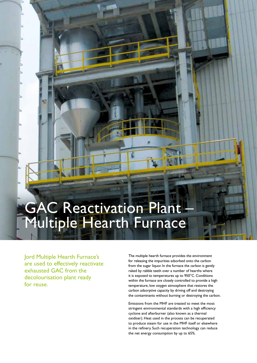## GAC Reactivation Plant Multiple Hearth Furnace

Jord Multiple Hearth Furnace's are used to effectively reactivate exhausted GAC from the decolourisation plant ready for reuse.

The multiple hearth furnace provides the environment for releasing the impurities adsorbed onto the carbon from the sugar liquor. In the furnace the carbon is gently raked by rabble teeth over a number of hearths where it is exposed to temperatures up to 950°C. Conditions within the furnace are closely controlled to provide a high temperature, low oxygen atmosphere that restores the carbon adsorptive capacity by driving off and destroying the contaminants without burning or destroying the carbon.

Emissions from the MHF are treated to meet the most stringent environmental standards with a high efficiency cyclone and afterburner (also known as a thermal oxidiser). Heat used in the process can be recuperated to produce steam for use in the MHF itself or elsewhere in the refinery. Such recuperation technology can reduce the net energy consumption by up to 65%.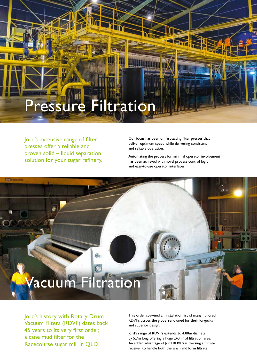# Pressure Filtration

Jord's extensive range of filter presses offer a reliable and proven solid – liquid separation solution for your sugar refinery. Our focus has been on fast-acting filter presses that deliver optimum speed while delivering consistent and reliable operation.

Automating the process for minimal operator involvement has been achieved with novel process control logic and easy-to-use operator interfaces.

# Vacuum Filtration

Jord's history with Rotary Drum Vacuum Filters (RDVF) dates back 45 years to its very first order, a cane mud filter for the Racecourse sugar mill in QLD.

This order spawned an installation list of many hundred RDVF's across the globe, renowned for their longevity and superior design.

Jord's range of RDVF's extends to 4.88m diameter by 5.7m long offering a huge  $240m^2$  of filtration area. An added advantage of Jord RDVF's is the single filtrate receiver to handle both the wash and form filtrate.